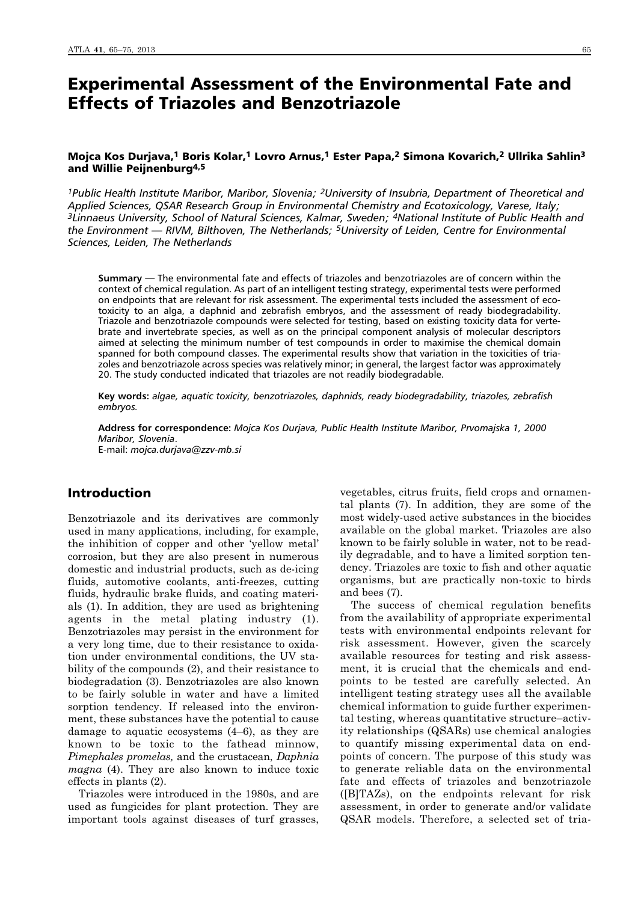# Experimental Assessment of the Environmental Fate and Effects of Triazoles and Benzotriazole

# Mojca Kos Durjava,<sup>1</sup> Boris Kolar,<sup>1</sup> Lovro Arnus,<sup>1</sup> Ester Papa,<sup>2</sup> Simona Kovarich,<sup>2</sup> Ullrika Sahlin<sup>3</sup> and Willie Peijnenburg4,5

*1Public Health Institute Maribor, Maribor, Slovenia; 2University of Insubria, Department of Theoretical and Applied Sciences, QSAR Research Group in Environmental Chemistry and Ecotoxicology, Varese, Italy; 3Linnaeus University, School of Natural Sciences, Kalmar, Sweden; 4National Institute of Public Health and the Environment — RIVM, Bilthoven, The Netherlands; 5University of Leiden, Centre for Environmental Sciences, Leiden, The Netherlands*

**Summary** — The environmental fate and effects of triazoles and benzotriazoles are of concern within the context of chemical regulation. As part of an intelligent testing strategy, experimental tests were performed on endpoints that are relevant for risk assessment. The experimental tests included the assessment of ecotoxicity to an alga, a daphnid and zebrafish embryos, and the assessment of ready biodegradability. Triazole and benzotriazole compounds were selected for testing, based on existing toxicity data for vertebrate and invertebrate species, as well as on the principal component analysis of molecular descriptors aimed at selecting the minimum number of test compounds in order to maximise the chemical domain spanned for both compound classes. The experimental results show that variation in the toxicities of triazoles and benzotriazole across species was relatively minor; in general, the largest factor was approximately 20. The study conducted indicated that triazoles are not readily biodegradable.

**Key words:** *algae, aquatic toxicity, benzotriazoles, daphnids, ready biodegradability, triazoles, zebrafish embryos.*

**Address for correspondence:** *Mojca Kos Durjava, Public Health Institute Maribor, Prvomajska 1, 2000 Maribor, Slovenia*.

E-mail: *mojca.durjava@zzv-mb.si*

# Introduction

Benzotriazole and its derivatives are commonly used in many applications, including, for example, the inhibition of copper and other 'yellow metal' corrosion, but they are also present in numerous domestic and industrial products, such as de-icing fluids, automotive coolants, anti-freezes, cutting fluids, hydraulic brake fluids, and coating materials (1). In addition, they are used as brightening agents in the metal plating industry (1). Benzotriazoles may persist in the environment for a very long time, due to their resistance to oxidation under environmental conditions, the UV stability of the compounds (2), and their resistance to biodegradation (3). Benzotriazoles are also known to be fairly soluble in water and have a limited sorption tendency. If released into the environment, these substances have the potential to cause damage to aquatic ecosystems (4–6), as they are known to be toxic to the fathead minnow, *Pimephales promelas,* and the crustacean, *Daphnia magna* (4). They are also known to induce toxic effects in plants (2).

Triazoles were introduced in the 1980s, and are used as fungicides for plant protection. They are important tools against diseases of turf grasses, vegetables, citrus fruits, field crops and ornamental plants (7). In addition, they are some of the most widely-used active substances in the biocides available on the global market. Triazoles are also known to be fairly soluble in water, not to be readily degradable, and to have a limited sorption tendency. Triazoles are toxic to fish and other aquatic organisms, but are practically non-toxic to birds and bees (7).

The success of chemical regulation benefits from the availability of appropriate experimental tests with environmental endpoints relevant for risk assessment. However, given the scarcely available resources for testing and risk assessment, it is crucial that the chemicals and endpoints to be tested are carefully selected. An intelligent testing strategy uses all the available chemical information to guide further experimental testing, whereas quantitative structure–activity relationships (QSARs) use chemical analogies to quantify missing experimental data on endpoints of concern. The purpose of this study was to generate reliable data on the environmental fate and effects of triazoles and benzotriazole ([B]TAZs), on the endpoints relevant for risk assessment, in order to generate and/or validate QSAR models. Therefore, a selected set of tria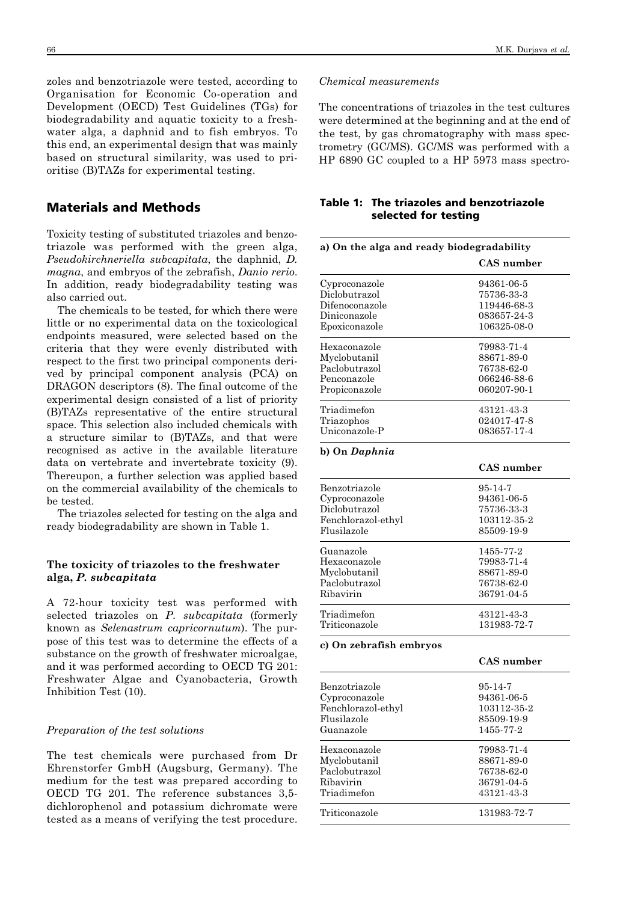zoles and benzotriazole were tested, according to Organisation for Economic Co-operation and Development (OECD) Test Guidelines (TGs) for biodegradability and aquatic toxicity to a freshwater alga, a daphnid and to fish embryos. To this end, an experimental design that was mainly based on structural similarity, was used to prioritise (B)TAZs for experimental testing.

# Materials and Methods

Toxicity testing of substituted triazoles and benzotriazole was performed with the green alga, *Pseudokirchneriella subcapitata*, the daphnid, *D. magna*, and embryos of the zebrafish, *Danio rerio*. In addition, ready biodegradability testing was also carried out.

The chemicals to be tested, for which there were little or no experimental data on the toxicological endpoints measured, were selected based on the criteria that they were evenly distributed with respect to the first two principal components derived by principal component analysis (PCA) on DRAGON descriptors (8). The final outcome of the experimental design consisted of a list of priority (B)TAZs representative of the entire structural space. This selection also included chemicals with a structure similar to (B)TAZs, and that were recognised as active in the available literature data on vertebrate and invertebrate toxicity (9). Thereupon, a further selection was applied based on the commercial availability of the chemicals to be tested.

The triazoles selected for testing on the alga and ready biodegradability are shown in Table 1.

## **The toxicity of triazoles to the freshwater alga,** *P. subcapitata*

A 72-hour toxicity test was performed with selected triazoles on *P. subcapitata* (formerly known as *Selenastrum capricornutum*). The purpose of this test was to determine the effects of a substance on the growth of freshwater microalgae, and it was performed according to OECD TG 201: Freshwater Algae and Cyanobacteria, Growth Inhibition Test (10).

## *Preparation of the test solutions*

The test chemicals were purchased from Dr Ehrenstorfer GmbH (Augsburg, Germany). The medium for the test was prepared according to OECD TG 201. The reference substances 3,5 dichlorophenol and potassium dichromate were tested as a means of verifying the test procedure.

## *Chemical measurements*

The concentrations of triazoles in the test cultures were determined at the beginning and at the end of the test, by gas chromatography with mass spectrometry (GC/MS). GC/MS was performed with a HP 6890 GC coupled to a HP 5973 mass spectro-

# Table 1: The triazoles and benzotriazole selected for testing

| Cyproconazole<br>Diclobutrazol | CAS number<br>94361-06-5<br>75736-33-3<br>119446-68-3<br>083657-24-3 |
|--------------------------------|----------------------------------------------------------------------|
|                                |                                                                      |
|                                |                                                                      |
|                                |                                                                      |
| Difenoconazole                 |                                                                      |
| Diniconazole                   |                                                                      |
| Epoxiconazole                  | 106325-08-0                                                          |
| Hexaconazole                   | 79983-71-4                                                           |
| Myclobutanil                   | 88671-89-0                                                           |
| Paclobutrazol                  | 76738-62-0                                                           |
| Penconazole                    | 066246-88-6                                                          |
| Propiconazole                  | 060207-90-1                                                          |
| Triadimefon                    | 43121-43-3                                                           |
| Triazophos                     | 024017-47-8                                                          |
| Uniconazole-P                  | 083657-17-4                                                          |
| b) On Daphnia                  |                                                                      |
|                                | <b>CAS</b> number                                                    |
| Benzotriazole                  | $95 - 14 - 7$                                                        |
| Cyproconazole                  | 94361-06-5                                                           |
| Diclobutrazol                  | 75736-33-3                                                           |
| Fenchlorazol-ethyl             | 103112-35-2                                                          |
| Flusilazole                    | 85509-19-9                                                           |
| Guanazole                      | 1455-77-2                                                            |
| Hexaconazole                   | 79983-71-4                                                           |
| Myclobutanil                   | 88671-89-0                                                           |
| Paclobutrazol                  | 76738-62-0                                                           |
| Ribavirin                      | 36791-04-5                                                           |
| Triadimefon                    | 43121-43-3                                                           |
| Triticonazole                  | 131983-72-7                                                          |
| c) On zebrafish embryos        |                                                                      |
|                                | <b>CAS</b> number                                                    |
| Benzotriazole                  | $95 - 14 - 7$                                                        |
| Cyproconazole                  | 94361-06-5                                                           |
| Fenchlorazol-ethyl             | 103112-35-2                                                          |
| Flusilazole                    | 85509-19-9                                                           |
| Guanazole                      | 1455-77-2                                                            |
| Hexaconazole                   | 79983-71-4                                                           |
| Myclobutanil                   | 88671-89-0                                                           |
| Paclobutrazol                  | 76738-62-0                                                           |
| Ribavirin                      | 36791-04-5                                                           |
| Triadimefon                    | 43121-43-3                                                           |
| Triticonazole                  | 131983-72-7                                                          |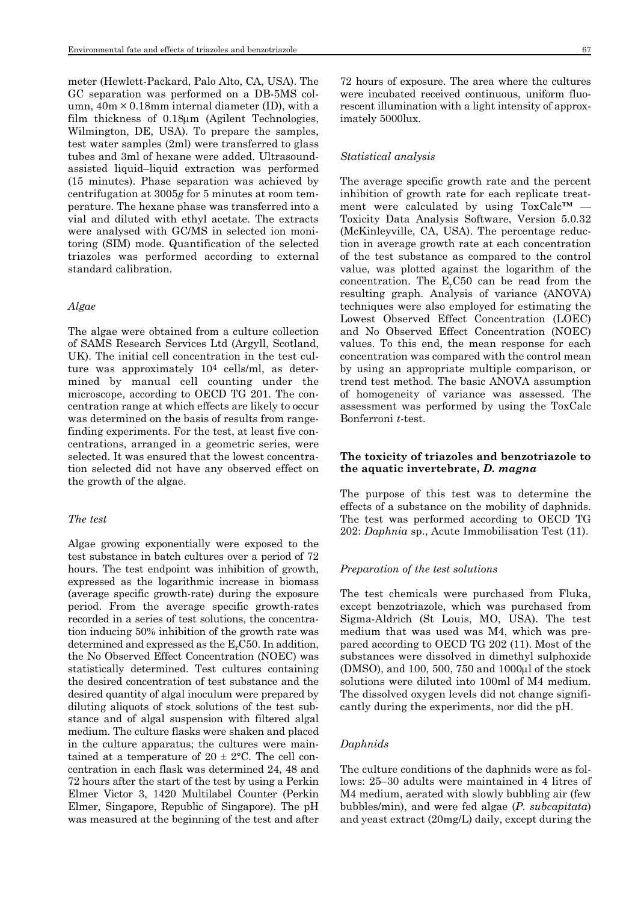meter (Hewlett-Packard, Palo Alto, CA, USA). The GC separation was performed on a DB-5MS column,  $40m \times 0.18mm$  internal diameter (ID), with a film thickness of 0.18μm (Agilent Technologies, Wilmington, DE, USA). To prepare the samples, test water samples (2ml) were transferred to glass tubes and 3ml of hexane were added. Ultrasoundassisted liquid–liquid extraction was performed (15 minutes). Phase separation was achieved by centrifugation at 3005*g* for 5 minutes at room temperature. The hexane phase was transferred into a vial and diluted with ethyl acetate. The extracts were analysed with GC/MS in selected ion monitoring (SIM) mode. Quantification of the selected triazoles was performed according to external standard calibration.

#### *Algae*

The algae were obtained from a culture collection of SAMS Research Services Ltd (Argyll, Scotland, UK). The initial cell concentration in the test culture was approximately 104 cells/ml, as determined by manual cell counting under the microscope, according to OECD TG 201. The concentration range at which effects are likely to occur was determined on the basis of results from rangefinding experiments. For the test, at least five concentrations, arranged in a geometric series, were selected. It was ensured that the lowest concentration selected did not have any observed effect on the growth of the algae.

#### *The test*

Algae growing exponentially were exposed to the test substance in batch cultures over a period of 72 hours. The test endpoint was inhibition of growth, expressed as the logarithmic increase in biomass (average specific growth-rate) during the exposure period. From the average specific growth-rates recorded in a series of test solutions, the concentration inducing 50% inhibition of the growth rate was determined and expressed as the  $E<sub>r</sub> C50$ . In addition, the No Observed Effect Concentration (NOEC) was statistically determined. Test cultures containing the desired concentration of test substance and the desired quantity of algal inoculum were prepared by diluting aliquots of stock solutions of the test substance and of algal suspension with filtered algal medium. The culture flasks were shaken and placed in the culture apparatus; the cultures were maintained at a temperature of  $20 \pm 2$ °C. The cell concentration in each flask was determined 24, 48 and 72 hours after the start of the test by using a Perkin Elmer Victor 3, 1420 Multilabel Counter (Perkin Elmer, Singapore, Republic of Singapore). The pH was measured at the beginning of the test and after 72 hours of exposure. The area where the cultures were incubated received continuous, uniform fluorescent illumination with a light intensity of approximately 5000lux.

#### *Statistical analysis*

The average specific growth rate and the percent inhibition of growth rate for each replicate treatment were calculated by using ToxCalc™ — Toxicity Data Analysis Software, Version 5.0.32 (McKinleyville, CA, USA). The percentage reduction in average growth rate at each concentration of the test substance as compared to the control value, was plotted against the logarithm of the concentration. The  $E<sub>r</sub>C50$  can be read from the resulting graph. Analysis of variance (ANOVA) techniques were also employed for estimating the Lowest Observed Effect Concentration (LOEC) and No Observed Effect Concentration (NOEC) values. To this end, the mean response for each concentration was compared with the control mean by using an appropriate multiple comparison, or trend test method. The basic ANOVA assumption of homogeneity of variance was assessed. The assessment was performed by using the ToxCalc Bonferroni *t*-test.

# **The toxicity of triazoles and benzotriazole to the aquatic invertebrate,** *D. magna*

The purpose of this test was to determine the effects of a substance on the mobility of daphnids. The test was performed according to OECD TG 202: *Daphnia* sp., Acute Immobilisation Test (11).

#### *Preparation of the test solutions*

The test chemicals were purchased from Fluka, except benzotriazole, which was purchased from Sigma-Aldrich (St Louis, MO, USA). The test medium that was used was M4, which was prepared according to OECD TG 202 (11). Most of the substances were dissolved in dimethyl sulphoxide (DMSO), and 100, 500, 750 and 1000μl of the stock solutions were diluted into 100ml of M4 medium. The dissolved oxygen levels did not change significantly during the experiments, nor did the pH.

## *Daphnids*

The culture conditions of the daphnids were as follows: 25–30 adults were maintained in 4 litres of M4 medium, aerated with slowly bubbling air (few bubbles/min), and were fed algae (*P. subcapitata*) and yeast extract (20mg/L) daily, except during the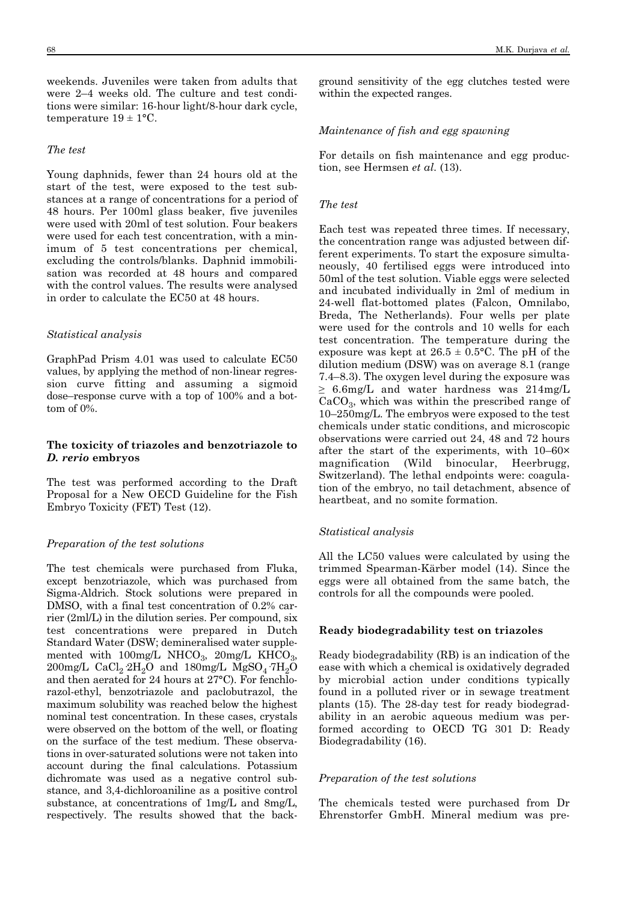weekends. Juveniles were taken from adults that were 2–4 weeks old. The culture and test conditions were similar: 16-hour light/8-hour dark cycle, temperature  $19 \pm 1$ °C.

#### *The test*

Young daphnids, fewer than 24 hours old at the start of the test, were exposed to the test substances at a range of concentrations for a period of 48 hours. Per 100ml glass beaker, five juveniles were used with 20ml of test solution. Four beakers were used for each test concentration, with a minimum of 5 test concentrations per chemical, excluding the controls/blanks. Daphnid immobilisation was recorded at 48 hours and compared with the control values. The results were analysed in order to calculate the EC50 at 48 hours.

#### *Statistical analysis*

GraphPad Prism 4.01 was used to calculate EC50 values, by applying the method of non-linear regression curve fitting and assuming a sigmoid dose–response curve with a top of 100% and a bottom of 0%.

# **The toxicity of triazoles and benzotriazole to** *D. rerio* **embryos**

The test was performed according to the Draft Proposal for a New OECD Guideline for the Fish Embryo Toxicity (FET) Test (12).

# *Preparation of the test solutions*

The test chemicals were purchased from Fluka, except benzotriazole, which was purchased from Sigma-Aldrich. Stock solutions were prepared in DMSO, with a final test concentration of 0.2% carrier (2ml/L) in the dilution series. Per compound, six test concentrations were prepared in Dutch Standard Water (DSW; demineralised water supplemented with  $100$ mg/L NHCO<sub>3</sub>,  $20$ mg/L KHCO<sub>3</sub>,  $200$ mg/L CaCl<sub>2</sub>  $2H_2O$  and  $180$ mg/L MgSO<sub>4</sub>  $7H_2O$ and then aerated for 24 hours at 27°C). For fenchlorazol-ethyl, benzotriazole and paclobutrazol, the maximum solubility was reached below the highest nominal test concentration. In these cases, crystals were observed on the bottom of the well, or floating on the surface of the test medium. These observations in over-saturated solutions were not taken into account during the final calculations. Potassium dichromate was used as a negative control substance, and 3,4-dichloroaniline as a positive control substance, at concentrations of 1mg/L and 8mg/L, respectively. The results showed that the background sensitivity of the egg clutches tested were within the expected ranges.

#### *Maintenance of fish and egg spawning*

For details on fish maintenance and egg production, see Hermsen *et al*. (13).

#### *The test*

Each test was repeated three times. If necessary, the concentration range was adjusted between different experiments. To start the exposure simultaneously, 40 fertilised eggs were introduced into 50ml of the test solution. Viable eggs were selected and incubated individually in 2ml of medium in 24-well flat-bottomed plates (Falcon, Omnilabo, Breda, The Netherlands). Four wells per plate were used for the controls and 10 wells for each test concentration. The temperature during the exposure was kept at  $26.5 \pm 0.5$ °C. The pH of the dilution medium (DSW) was on average 8.1 (range 7.4–8.3). The oxygen level during the exposure was ≥ 6.6mg/L and water hardness was 214mg/L  $CaCO<sub>3</sub>$ , which was within the prescribed range of 10–250mg/L. The embryos were exposed to the test chemicals under static conditions, and microscopic observations were carried out 24, 48 and 72 hours after the start of the experiments, with 10–60× magnification (Wild binocular, Heerbrugg, Switzerland). The lethal endpoints were: coagulation of the embryo, no tail detachment, absence of heartbeat, and no somite formation.

#### *Statistical analysis*

All the LC50 values were calculated by using the trimmed Spearman-Kärber model (14). Since the eggs were all obtained from the same batch, the controls for all the compounds were pooled.

#### **Ready biodegradability test on triazoles**

Ready biodegradability (RB) is an indication of the ease with which a chemical is oxidatively degraded by microbial action under conditions typically found in a polluted river or in sewage treatment plants (15). The 28-day test for ready biodegradability in an aerobic aqueous medium was performed according to OECD TG 301 D: Ready Biodegradability (16).

#### *Preparation of the test solutions*

The chemicals tested were purchased from Dr Ehrenstorfer GmbH. Mineral medium was pre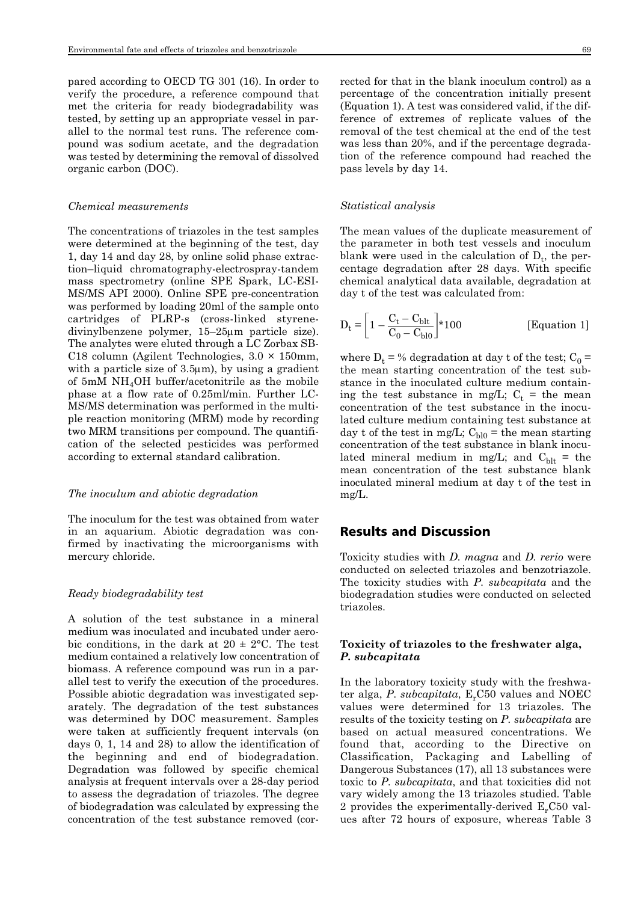pared according to OECD TG 301 (16). In order to verify the procedure, a reference compound that met the criteria for ready biodegradability was tested, by setting up an appropriate vessel in parallel to the normal test runs. The reference compound was sodium acetate, and the degradation was tested by determining the removal of dissolved organic carbon (DOC).

#### *Chemical measurements*

The concentrations of triazoles in the test samples were determined at the beginning of the test, day 1, day 14 and day 28, by online solid phase extraction–liquid chromatography-electrospray-tandem mass spectrometry (online SPE Spark, LC-ESI-MS/MS API 2000). Online SPE pre-concentration was performed by loading 20ml of the sample onto cartridges of PLRP-s (cross-linked styrenedivinylbenzene polymer, 15–25μm particle size). The analytes were eluted through a LC Zorbax SB-C18 column (Agilent Technologies, 3.0 × 150mm, with a particle size of  $3.5\mu$ m), by using a gradient of 5mM NH4OH buffer/acetonitrile as the mobile phase at a flow rate of 0.25ml/min. Further LC-MS/MS determination was performed in the multiple reaction monitoring (MRM) mode by recording two MRM transitions per compound. The quantification of the selected pesticides was performed according to external standard calibration.

#### *The inoculum and abiotic degradation*

The inoculum for the test was obtained from water in an aquarium. Abiotic degradation was confirmed by inactivating the microorganisms with mercury chloride.

#### *Ready biodegradability test*

A solution of the test substance in a mineral medium was inoculated and incubated under aerobic conditions, in the dark at  $20 \pm 2^{\circ}$ C. The test medium contained a relatively low concentration of biomass. A reference compound was run in a parallel test to verify the execution of the procedures. Possible abiotic degradation was investigated separately. The degradation of the test substances was determined by DOC measurement. Samples were taken at sufficiently frequent intervals (on days 0, 1, 14 and 28) to allow the identification of the beginning and end of biodegradation. Degradation was followed by specific chemical analysis at frequent intervals over a 28-day period to assess the degradation of triazoles. The degree of biodegradation was calculated by expressing the concentration of the test substance removed (corrected for that in the blank inoculum control) as a percentage of the concentration initially present (Equation 1). A test was considered valid, if the difference of extremes of replicate values of the removal of the test chemical at the end of the test was less than 20%, and if the percentage degradation of the reference compound had reached the pass levels by day 14.

#### *Statistical analysis*

The mean values of the duplicate measurement of the parameter in both test vessels and inoculum blank were used in the calculation of  $D_t$ , the percentage degradation after 28 days. With specific chemical analytical data available, degradation at day t of the test was calculated from:

$$
D_t = \left[1 - \frac{C_t - C_{\text{blt}}}{C_0 - C_{\text{bl0}}}\right] * 100
$$
 [Equation 1]

where  $D_t = \%$  degradation at day t of the test;  $C_0 =$ the mean starting concentration of the test substance in the inoculated culture medium containing the test substance in mg/L;  $C_t$  = the mean concentration of the test substance in the inoculated culture medium containing test substance at day t of the test in mg/L;  $C_{b10}$  = the mean starting concentration of the test substance in blank inoculated mineral medium in mg/L; and  $C_{\text{blt}}$  = the mean concentration of the test substance blank inoculated mineral medium at day t of the test in mg/L.

## Results and Discussion

Toxicity studies with *D. magna* and *D. rerio* were conducted on selected triazoles and benzotriazole. The toxicity studies with *P. subcapitata* and the biodegradation studies were conducted on selected triazoles.

## **Toxicity of triazoles to the freshwater alga,** *P. subcapitata*

In the laboratory toxicity study with the freshwater alga,  $P$ . *subcapitata*,  $E_r C50$  values and NOEC values were determined for 13 triazoles. The results of the toxicity testing on *P. subcapitata* are based on actual measured concentrations. We found that, according to the Directive on Classification, Packaging and Labelling of Dangerous Substances (17), all 13 substances were toxic to *P. subcapitata*, and that toxicities did not vary widely among the 13 triazoles studied. Table 2 provides the experimentally-derived  $E<sub>r</sub>C50$  values after 72 hours of exposure, whereas Table 3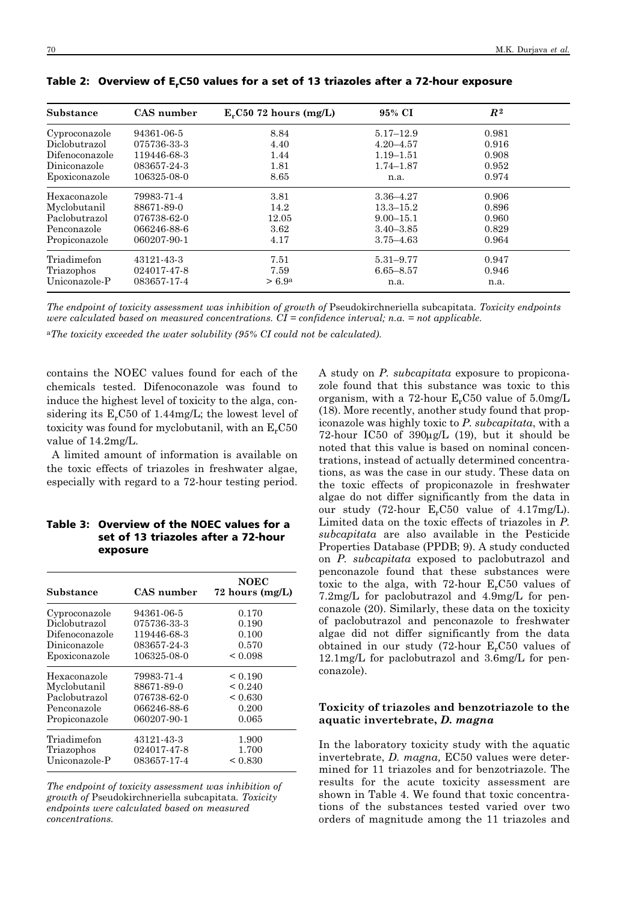| CAS number<br>Substance |             | $ErC50$ 72 hours (mg/L) | 95% CI        | $R^2$ |  |
|-------------------------|-------------|-------------------------|---------------|-------|--|
| Cyproconazole           | 94361-06-5  | 8.84                    | $5.17 - 12.9$ | 0.981 |  |
| Diclobutrazol           | 075736-33-3 | 4.40                    | $4.20 - 4.57$ | 0.916 |  |
| Difenoconazole          | 119446-68-3 | 1.44                    | $1.19 - 1.51$ | 0.908 |  |
| Diniconazole            | 083657-24-3 | 1.81                    | $1.74 - 1.87$ | 0.952 |  |
| Epoxiconazole           | 106325-08-0 | 8.65                    | n.a.          | 0.974 |  |
| Hexaconazole            | 79983-71-4  | 3.81                    | $3.36 - 4.27$ | 0.906 |  |
| Myclobutanil            | 88671-89-0  | 14.2                    | $13.3 - 15.2$ | 0.896 |  |
| Paclobutrazol           | 076738-62-0 | 12.05                   | $9.00 - 15.1$ | 0.960 |  |
| Penconazole             | 066246-88-6 | 3.62                    | $3.40 - 3.85$ | 0.829 |  |
| Propiconazole           | 060207-90-1 | 4.17                    | $3.75 - 4.63$ | 0.964 |  |
| Triadimefon             | 43121-43-3  | 7.51                    | $5.31 - 9.77$ | 0.947 |  |
| Triazophos              | 024017-47-8 | 7.59                    | $6.65 - 8.57$ | 0.946 |  |
| Uniconazole-P           | 083657-17-4 | > 6.9 <sup>a</sup>      | n.a.          | n.a.  |  |

Table 2: Overview of E,C50 values for a set of 13 triazoles after a 72-hour exposure

*The endpoint of toxicity assessment was inhibition of growth of* Pseudokirchneriella subcapitata*. Toxicity endpoints were calculated based on measured concentrations. CI = confidence interval; n.a. = not applicable.* 

a*The toxicity exceeded the water solubility (95% CI could not be calculated).*

contains the NOEC values found for each of the chemicals tested. Difenoconazole was found to induce the highest level of toxicity to the alga, considering its  $E_rC50$  of 1.44mg/L; the lowest level of toxicity was found for myclobutanil, with an  $E<sub>r</sub>C50$ value of 14.2mg/L.

A limited amount of information is available on the toxic effects of triazoles in freshwater algae, especially with regard to a 72-hour testing period.

# Table 3: Overview of the NOEC values for a set of 13 triazoles after a 72-hour exposure

| Substance      | CAS number  | <b>NOEC</b><br>72 hours $(mg/L)$ |
|----------------|-------------|----------------------------------|
| Cyproconazole  | 94361-06-5  | 0.170                            |
| Diclobutrazol  | 075736-33-3 | 0.190                            |
| Difenoconazole | 119446-68-3 | 0.100                            |
| Diniconazole   | 083657-24-3 | 0.570                            |
| Epoxiconazole  | 106325-08-0 | ${}_{0.098}$                     |
| Hexaconazole   | 79983-71-4  | ${}_{0.190}$                     |
| Myclobutanil   | 88671-89-0  | < 0.240                          |
| Paclobutrazol  | 076738-62-0 | < 0.630                          |
| Penconazole    | 066246-88-6 | 0.200                            |
| Propiconazole  | 060207-90-1 | 0.065                            |
| Triadimefon    | 43121-43-3  | 1.900                            |
| Triazophos     | 024017-47-8 | 1.700                            |
| Uniconazole-P  | 083657-17-4 | ${}_{\leq 0.830}$                |

*The endpoint of toxicity assessment was inhibition of growth of* Pseudokirchneriella subcapitata*. Toxicity endpoints were calculated based on measured concentrations.*

A study on *P. subcapitata* exposure to propiconazole found that this substance was toxic to this organism, with a 72-hour  $E_rC50$  value of  $5.0$ mg/L (18). More recently, another study found that propiconazole was highly toxic to *P. subcapitata*, with a 72-hour IC50 of 390μg/L (19), but it should be noted that this value is based on nominal concentrations, instead of actually determined concentrations, as was the case in our study. These data on the toxic effects of propiconazole in freshwater algae do not differ significantly from the data in our study  $(72 \text{-} \text{hour } E_r C50 \text{ value of } 4.17 \text{mg/L}).$ Limited data on the toxic effects of triazoles in *P. subcapitata* are also available in the Pesticide Properties Database (PPDB; 9). A study conducted on *P. subcapitata* exposed to paclobutrazol and penconazole found that these substances were toxic to the alga, with 72-hour  $E_rC50$  values of 7.2mg/L for paclobutrazol and 4.9mg/L for penconazole (20). Similarly, these data on the toxicity of paclobutrazol and penconazole to freshwater algae did not differ significantly from the data obtained in our study  $(72 \text{-} hour)$  E<sub>r</sub>C<sub>50</sub> values of 12.1mg/L for paclobutrazol and 3.6mg/L for penconazole).

## **Toxicity of triazoles and benzotriazole to the aquatic invertebrate,** *D. magna*

In the laboratory toxicity study with the aquatic invertebrate, *D. magna,* EC50 values were determined for 11 triazoles and for benzotriazole. The results for the acute toxicity assessment are shown in Table 4. We found that toxic concentrations of the substances tested varied over two orders of magnitude among the 11 triazoles and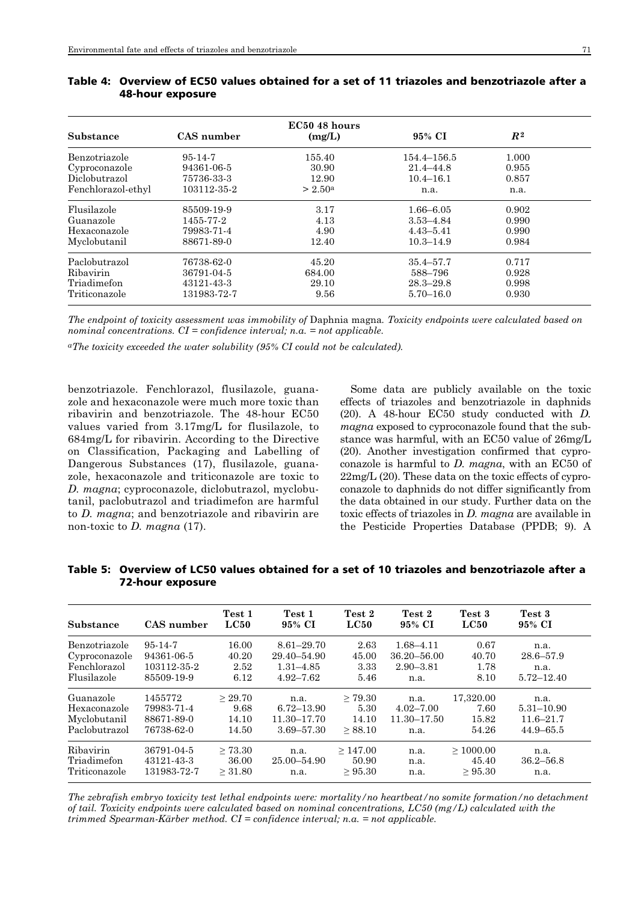| Substance          | CAS number    | EC50 48 hours<br>(mg/L) | 95% CI        | R <sup>2</sup> |  |
|--------------------|---------------|-------------------------|---------------|----------------|--|
| Benzotriazole      | $95 - 14 - 7$ | 155.40                  | 154.4–156.5   | 1.000          |  |
| Cyproconazole      | 94361-06-5    | 30.90                   | $21.4 - 44.8$ | 0.955          |  |
| Diclobutrazol      | 75736-33-3    | 12.90                   | $10.4 - 16.1$ | 0.857          |  |
| Fenchlorazol-ethyl | 103112-35-2   | > 2.50 <sup>a</sup>     | n.a.          | n.a.           |  |
| Flusilazole        | 85509-19-9    | 3.17                    | $1.66 - 6.05$ | 0.902          |  |
| Guanazole          | 1455-77-2     | 4.13                    | $3.53 - 4.84$ | 0.990          |  |
| Hexaconazole       | 79983-71-4    | 4.90                    | $4.43 - 5.41$ | 0.990          |  |
| Myclobutanil       | 88671-89-0    | 12.40                   | $10.3 - 14.9$ | 0.984          |  |
| Paclobutrazol      | 76738-62-0    | 45.20                   | $35.4 - 57.7$ | 0.717          |  |
| Ribavirin          | 36791-04-5    | 684.00                  | 588-796       | 0.928          |  |
| Triadimefon        | 43121-43-3    | 29.10                   | $28.3 - 29.8$ | 0.998          |  |
| Triticonazole      | 131983-72-7   | 9.56                    | $5.70 - 16.0$ | 0.930          |  |

| Table 4: Overview of EC50 values obtained for a set of 11 triazoles and benzotriazole after a |
|-----------------------------------------------------------------------------------------------|
| 48-hour exposure                                                                              |

*The endpoint of toxicity assessment was immobility of* Daphnia magna*. Toxicity endpoints were calculated based on nominal concentrations. CI = confidence interval; n.a. = not applicable.* 

*aThe toxicity exceeded the water solubility (95% CI could not be calculated).*

benzotriazole. Fenchlorazol, flusilazole, guanazole and hexaconazole were much more toxic than ribavirin and benzotriazole. The 48-hour EC50 values varied from 3.17mg/L for flusilazole, to 684mg/L for ribavirin. According to the Directive on Classification, Packaging and Labelling of Dangerous Substances (17), flusilazole, guanazole, hexaconazole and triticonazole are toxic to *D. magna*; cyproconazole, diclobutrazol, myclobutanil, paclobutrazol and triadimefon are harmful to *D. magna*; and benzotriazole and ribavirin are non-toxic to *D. magna* (17).

Some data are publicly available on the toxic effects of triazoles and benzotriazole in daphnids (20). A 48-hour EC50 study conducted with *D. magna* exposed to cyproconazole found that the substance was harmful, with an EC50 value of 26mg/L (20). Another investigation confirmed that cyproconazole is harmful to *D. magna*, with an EC50 of 22mg/L (20). These data on the toxic effects of cyproconazole to daphnids do not differ significantly from the data obtained in our study. Further data on the toxic effects of triazoles in *D. magna* are available in the Pesticide Properties Database (PPDB; 9). A

| Substance     | CAS number  | Test 1<br>LC50 | Test 1<br>95% CI | Test 2<br>LC50 | Test 2<br>95% CI | Test 3<br>LC50 | Test 3<br>95% CI |
|---------------|-------------|----------------|------------------|----------------|------------------|----------------|------------------|
| Benzotriazole | 95-14-7     | 16.00          | $8.61 - 29.70$   | 2.63           | $1.68 - 4.11$    | 0.67           | n.a.             |
| Cyproconazole | 94361-06-5  | 40.20          | 29.40-54.90      | 45.00          | $36.20 - 56.00$  | 40.70          | $28.6 - 57.9$    |
| Fenchlorazol  | 103112-35-2 | 2.52           | $1.31 - 4.85$    | 3.33           | $2.90 - 3.81$    | 1.78           | n.a.             |
| Flusilazole   | 85509-19-9  | 6.12           | $4.92 - 7.62$    | 5.46           | n.a.             | 8.10           | $5.72 - 12.40$   |
| Guanazole     | 1455772     | > 29.70        | n.a.             | $\geq 79.30$   | n.a.             | 17,320.00      | n.a.             |
| Hexaconazole  | 79983-71-4  | 9.68           | $6.72 - 13.90$   | 5.30           | $4.02 - 7.00$    | 7.60           | $5.31 - 10.90$   |
| Myclobutanil  | 88671-89-0  | 14.10          | 11.30-17.70      | 14.10          | $11.30 - 17.50$  | 15.82          | $11.6 - 21.7$    |
| Paclobutrazol | 76738-62-0  | 14.50          | 3.69-57.30       | > 88.10        | n.a.             | 54.26          | $44.9 - 65.5$    |
| Ribavirin     | 36791-04-5  | > 73.30        | n.a.             | $\geq 147.00$  | n.a.             | $\geq 1000.00$ | n.a.             |
| Triadimefon   | 43121-43-3  | 36.00          | 25.00–54.90      | 50.90          | n.a.             | 45.40          | $36.2 - 56.8$    |
| Triticonazole | 131983-72-7 | > 31.80        | n.a.             | > 95.30        | n.a.             | $\geq 95.30$   | n.a.             |

Table 5: Overview of LC50 values obtained for a set of 10 triazoles and benzotriazole after a 72-hour exposure

*The zebrafish embryo toxicity test lethal endpoints were: mortality/no heartbeat/no somite formation/no detachment of tail. Toxicity endpoints were calculated based on nominal concentrations, LC50 (mg/L) calculated with the trimmed Spearman-Kärber method. CI = confidence interval; n.a. = not applicable.*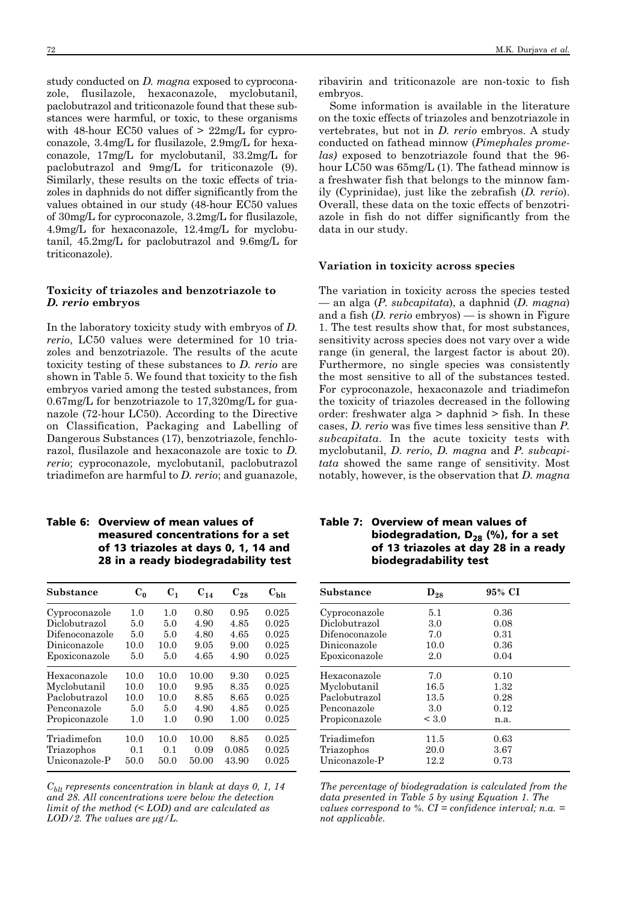study conducted on *D. magna* exposed to cyproconazole, flusilazole, hexaconazole, myclobutanil, paclobutrazol and triticonazole found that these substances were harmful, or toxic, to these organisms with 48-hour EC50 values of  $>$  22mg/L for cyproconazole, 3.4mg/L for flusilazole, 2.9mg/L for hexaconazole, 17mg/L for myclobutanil, 33.2mg/L for paclobutrazol and 9mg/L for triticonazole (9). Similarly, these results on the toxic effects of triazoles in daphnids do not differ significantly from the values obtained in our study (48-hour EC50 values of 30mg/L for cyproconazole, 3.2mg/L for flusilazole, 4.9mg/L for hexaconazole, 12.4mg/L for myclobutanil, 45.2mg/L for paclobutrazol and 9.6mg/L for triticonazole).

## **Toxicity of triazoles and benzotriazole to**  *D. rerio* **embryos**

In the laboratory toxicity study with embryos of *D. rerio*, LC50 values were determined for 10 triazoles and benzotriazole. The results of the acute toxicity testing of these substances to *D. rerio* are shown in Table 5. We found that toxicity to the fish embryos varied among the tested substances, from 0.67mg/L for benzotriazole to 17,320mg/L for guanazole (72-hour LC50). According to the Directive on Classification, Packaging and Labelling of Dangerous Substances (17), benzotriazole, fenchlorazol, flusilazole and hexaconazole are toxic to *D. rerio*; cyproconazole, myclobutanil, paclobutrazol triadimefon are harmful to *D. rerio*; and guanazole,

# Table 6: Overview of mean values of measured concentrations for a set of 13 triazoles at days 0, 1, 14 and 28 in a ready biodegradability test

| Substance      | $C_0$ | $C_{1}$ | $C_{14}$ | $C_{28}$ | $\mathbf{C_{blt}}$ |
|----------------|-------|---------|----------|----------|--------------------|
| Cyproconazole  | 1.0   | 1.0     | 0.80     | 0.95     | 0.025              |
| Diclobutrazol  | 5.0   | 5.0     | 4.90     | 4.85     | 0.025              |
| Difenoconazole | 5.0   | 5.0     | 4.80     | 4.65     | 0.025              |
| Diniconazole   | 10.0  | 10.0    | 9.05     | 9.00     | 0.025              |
| Epoxiconazole  | 5.0   | 5.0     | 4.65     | 4.90     | 0.025              |
| Hexaconazole   | 10.0  | 10.0    | 10.00    | 9.30     | 0.025              |
| Myclobutanil   | 10.0  | 10.0    | 9.95     | 8.35     | 0.025              |
| Paclobutrazol  | 10.0  | 10.0    | 8.85     | 8.65     | 0.025              |
| Penconazole    | 5.0   | 5.0     | 4.90     | 4.85     | 0.025              |
| Propiconazole  | 1.0   | 1.0     | 0.90     | 1.00     | 0.025              |
| Triadimefon    | 10.0  | 10.0    | 10.00    | 8.85     | 0.025              |
| Triazophos     | 0.1   | 0.1     | 0.09     | 0.085    | 0.025              |
| Uniconazole-P  | 50.0  | 50.0    | 50.00    | 43.90    | 0.025              |

*Cblt represents concentration in blank at days 0, 1, 14 and 28. All concentrations were below the detection limit of the method (< LOD) and are calculated as LOD/2. The values are* μ*g/L.*

ribavirin and triticonazole are non-toxic to fish embryos.

Some information is available in the literature on the toxic effects of triazoles and benzotriazole in vertebrates, but not in *D. rerio* embryos. A study conducted on fathead minnow (*Pimephales promelas)* exposed to benzotriazole found that the 96 hour LC50 was 65mg/L (1). The fathead minnow is a freshwater fish that belongs to the minnow family (Cyprinidae), just like the zebrafish (*D. rerio*). Overall, these data on the toxic effects of benzotriazole in fish do not differ significantly from the data in our study.

#### **Variation in toxicity across species**

The variation in toxicity across the species tested — an alga (*P. subcapitata*), a daphnid (*D. magna*) and a fish (*D. rerio* embryos) — is shown in Figure 1. The test results show that, for most substances, sensitivity across species does not vary over a wide range (in general, the largest factor is about 20). Furthermore, no single species was consistently the most sensitive to all of the substances tested. For cyproconazole, hexaconazole and triadimefon the toxicity of triazoles decreased in the following order: freshwater alga > daphnid > fish. In these cases, *D. rerio* was five times less sensitive than *P. subcapitata*. In the acute toxicity tests with myclobutanil, *D. rerio*, *D. magna* and *P. subcapitata* showed the same range of sensitivity. Most notably, however, is the observation that *D. magna*

| Table 7:   Overview of mean values of   |
|-----------------------------------------|
| biodegradation, $D_{28}$ (%), for a set |
| of 13 triazoles at day 28 in a ready    |
| biodegradability test                   |

| Substance      | $D_{28}$ | 95% CI |  |
|----------------|----------|--------|--|
| Cyproconazole  | 5.1      | 0.36   |  |
| Diclobutrazol  | 3.0      | 0.08   |  |
| Difenoconazole | 7.0      | 0.31   |  |
| Diniconazole   | 10.0     | 0.36   |  |
| Epoxiconazole  | 2.0      | 0.04   |  |
| Hexaconazole   | 7.0      | 0.10   |  |
| Myclobutanil   | 16.5     | 1.32   |  |
| Paclobutrazol  | 13.5     | 0.28   |  |
| Penconazole    | 3.0      | 0.12   |  |
| Propiconazole  | < 3.0    | n.a.   |  |
| Triadimefon    | 11.5     | 0.63   |  |
| Triazophos     | 20.0     | 3.67   |  |
| Uniconazole-P  | 12.2     | 0.73   |  |

*The percentage of biodegradation is calculated from the data presented in Table 5 by using Equation 1. The values correspond to %. CI = confidence interval; n.a. = not applicable.*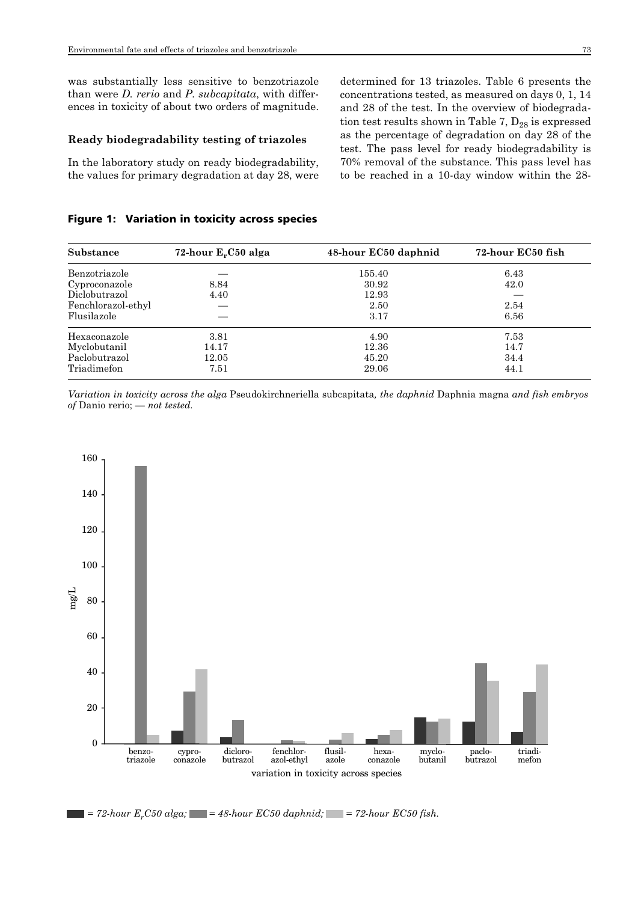was substantially less sensitive to benzotriazole than were *D. rerio* and *P. subcapitata*, with differences in toxicity of about two orders of magnitude.

#### **Ready biodegradability testing of triazoles**

In the laboratory study on ready biodegradability, the values for primary degradation at day 28, were

# Figure 1: Variation in toxicity across species

concentrations tested, as measured on days 0, 1, 14 and 28 of the test. In the overview of biodegradation test results shown in Table 7,  $D_{28}$  is expressed as the percentage of degradation on day 28 of the test. The pass level for ready biodegradability is 70% removal of the substance. This pass level has to be reached in a 10-day window within the 28-

determined for 13 triazoles. Table 6 presents the

| Substance          | 72-hour $E_rC50$ alga | 48-hour EC50 daphnid | 72-hour EC50 fish |
|--------------------|-----------------------|----------------------|-------------------|
| Benzotriazole      |                       | 155.40               | 6.43              |
| Cyproconazole      | 8.84                  | 30.92                | 42.0              |
| Diclobutrazol      | 4.40                  | 12.93                |                   |
| Fenchlorazol-ethyl |                       | 2.50                 | 2.54              |
| Flusilazole        |                       | 3.17                 | 6.56              |
| Hexaconazole       | 3.81                  | 4.90                 | 7.53              |
| Myclobutanil       | 14.17                 | 12.36                | 14.7              |
| Paclobutrazol      | 12.05                 | 45.20                | 34.4              |
| Triadimefon        | 7.51                  | 29.06                | 44.1              |

*Variation in toxicity across the alga* Pseudokirchneriella subcapitata*, the daphnid* Daphnia magna *and fish embryos of* Danio rerio; *— not tested.*



 $= 72$ -hour  $E_r$ C50 alga;  $= 48$ -hour  $EC50$  daphnid;  $= 72$ -hour  $EC50$  fish.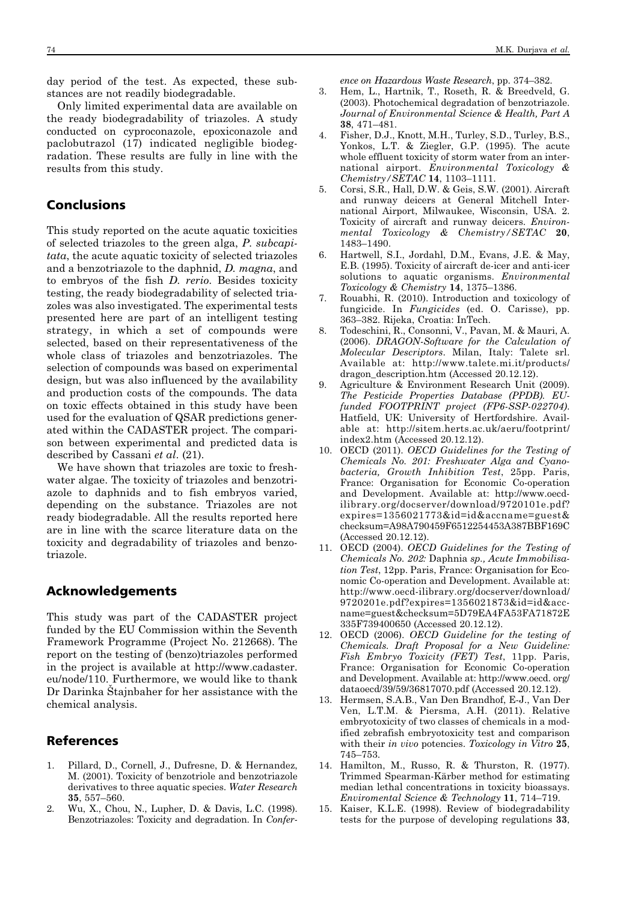day period of the test. As expected, these substances are not readily biodegradable.

Only limited experimental data are available on the ready biodegradability of triazoles. A study conducted on cyproconazole, epoxiconazole and paclobutrazol (17) indicated negligible biodegradation. These results are fully in line with the results from this study.

# Conclusions

This study reported on the acute aquatic toxicities of selected triazoles to the green alga, *P. subcapitata*, the acute aquatic toxicity of selected triazoles and a benzotriazole to the daphnid, *D. magna*, and to embryos of the fish *D. rerio*. Besides toxicity testing, the ready biodegradability of selected triazoles was also investigated. The experimental tests presented here are part of an intelligent testing strategy, in which a set of compounds were selected, based on their representativeness of the whole class of triazoles and benzotriazoles. The selection of compounds was based on experimental design, but was also influenced by the availability and production costs of the compounds. The data on toxic effects obtained in this study have been used for the evaluation of QSAR predictions generated within the CADASTER project. The comparison between experimental and predicted data is described by Cassani *et al*. (21).

We have shown that triazoles are toxic to freshwater algae. The toxicity of triazoles and benzotriazole to daphnids and to fish embryos varied, depending on the substance. Triazoles are not ready biodegradable. All the results reported here are in line with the scarce literature data on the toxicity and degradability of triazoles and benzotriazole.

# Acknowledgements

This study was part of the CADASTER project funded by the EU Commission within the Seventh Framework Programme (Project No. 212668). The report on the testing of (benzo)triazoles performed in the project is available at http://www.cadaster. eu/node/110. Furthermore, we would like to thank Dr Darinka Štajnbaher for her assistance with the chemical analysis.

# References

- 1. Pillard, D., Cornell, J., Dufresne, D. & Hernandez, M. (2001). Toxicity of benzotriole and benzotriazole derivatives to three aquatic species. *Water Research* **35**, 557–560.
- 2. Wu, X., Chou, N., Lupher, D. & Davis, L.C. (1998). Benzotriazoles: Toxicity and degradation. In *Confer -*

*ence on Hazardous Waste Research*, pp. 374–382.

- 3. Hem, L., Hartnik, T., Roseth, R. & Breedveld, G. (2003). Photochemical degradation of benzotriazole. *Journal of Environmental Science & Health, Part A* **38**, 471–481.
- 4. Fisher, D.J., Knott, M.H., Turley, S.D., Turley, B.S., Yonkos, L.T. & Ziegler, G.P. (1995). The acute whole effluent toxicity of storm water from an international airport. *Environmental Toxicology & Chemistry/SETAC* **14**, 1103–1111.
- 5. Corsi, S.R., Hall, D.W. & Geis, S.W. (2001). Aircraft and runway deicers at General Mitchell International Airport, Milwaukee, Wisconsin, USA. 2. Toxicity of aircraft and runway deicers. *Environ mental Toxicology & Chemistry/SETAC* **20**, 1483–1490.
- 6. Hartwell, S.I., Jordahl, D.M., Evans, J.E. & May, E.B. (1995). Toxicity of aircraft de-icer and anti-icer solutions to aquatic organisms. *Environmental Toxicology & Chemistry* **14**, 1375–1386.
- 7. Rouabhi, R. (2010). Introduction and toxicology of fungicide. In *Fungicides* (ed. O. Carisse), pp. 363–382. Rijeka, Croatia: InTech.
- 8. Todeschini, R., Consonni, V., Pavan, M. & Mauri, A. (2006). *DRAGON-Software for the Calculation of Molecular Descriptors*. Milan, Italy: Talete srl. Available at: http://www.talete.mi.it/products/ dragon\_description.htm (Accessed 20.12.12).
- 9. Agriculture & Environment Research Unit (2009). *The Pesticide Properties Database (PPDB). EUfunded FOOTPRINT project (FP6-SSP-022704)*. Hatfield, UK: University of Hertfordshire. Avail able at: http://sitem.herts.ac.uk/aeru/footprint/ index2.htm (Accessed 20.12.12).
- 10. OECD (2011). *OECD Guidelines for the Testing of Chemicals No. 201: Freshwater Alga and Cyano bacteria, Growth Inhibition Test*, 25pp. Paris, France: Organisation for Economic Co-operation and Development. Available at: http://www.oecdilibrary.org/docserver/download/9720101e.pdf? expires=1356021773&id=id&accname=guest& checksum=A98A790459F6512254453A387BBF169C (Accessed 20.12.12).
- 11. OECD (2004). *OECD Guidelines for the Testing of Chemicals No. 202:* Daphnia *sp., Acute Immobilisa tion Test*, 12pp. Paris, France: Organisation for Economic Co-operation and Development. Available at: http://www.oecd-ilibrary.org/docserver/download/ 9720201e.pdf?expires=1356021873&id=id&accname=guest&checksum=5D79EA4FA53FA71872E 335F739400650 (Accessed 20.12.12).
- 12. OECD (2006). *OECD Guideline for the testing of Chemicals. Draft Proposal for a New Guideline: Fish Embryo Toxicity (FET) Test*, 11pp. Paris, France: Organisation for Economic Co-operation and Development. Available at: http://www.oecd. org/ dataoecd/39/59/36817070.pdf (Accessed 20.12.12).
- 13. Hermsen, S.A.B., Van Den Brandhof, E-J., Van Der Ven, L.T.M. & Piersma, A.H. (2011). Relative embryotoxicity of two classes of chemicals in a modified zebrafish embryotoxicity test and comparison with their *in vivo* potencies. *Toxicology in Vitro* **25**, 745–753.
- 14. Hamilton, M., Russo, R. & Thurston, R. (1977). Trimmed Spearman-Kärber method for estimating median lethal concentrations in toxicity bioassays. *Enviromental Science & Technology* **11**, 714–719.
- 15. Kaiser, K.L.E. (1998). Review of biodegradability tests for the purpose of developing regulations **33**,